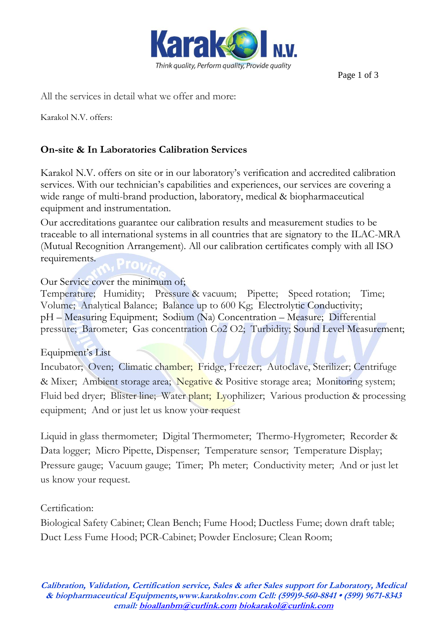

Page 1 of 3

All the services in detail what we offer and more:

Karakol N.V. offers:

## **On-site & In Laboratories Calibration Services**

Karakol N.V. offers on site or in our laboratory's verification and accredited calibration services. With our technician's capabilities and experiences, our services are covering a wide range of multi-brand production, laboratory, medical & biopharmaceutical equipment and instrumentation.

Our accreditations guarantee our calibration results and measurement studies to be traceable to all international systems in all countries that are signatory to the ILAC-MRA (Mutual Recognition Arrangement). All our calibration certificates comply with all ISO requirements.

#### Our Service cover the minimum of;

Temperature; Humidity; Pressure & vacuum; Pipette; Speed rotation; Time; Volume; Analytical Balance; Balance up to 600 Kg; Electrolytic Conductivity; pH – Measuring Equipment; Sodium (Na) Concentration – Measure; Differential pressure; Barometer; Gas concentration Co2 O2; Turbidity; Sound Level Measurement;

#### Equipment's List

Incubator; Oven; Climatic chamber; Fridge, Freezer; Autoclave, Sterilizer; Centrifuge & Mixer; Ambient storage area; Negative & Positive storage area; Monitoring system; Fluid bed dryer; Blister line; Water plant; Lyophilizer; Various production & processing equipment; And or just let us know your request

Liquid in glass thermometer; Digital Thermometer; Thermo-Hygrometer; Recorder & Data logger; Micro Pipette, Dispenser; Temperature sensor; Temperature Display; Pressure gauge; Vacuum gauge; Timer; Ph meter; Conductivity meter; And or just let us know your request.

#### Certification:

Biological Safety Cabinet; Clean Bench; Fume Hood; Ductless Fume; down draft table; Duct Less Fume Hood; PCR-Cabinet; Powder Enclosure; Clean Room;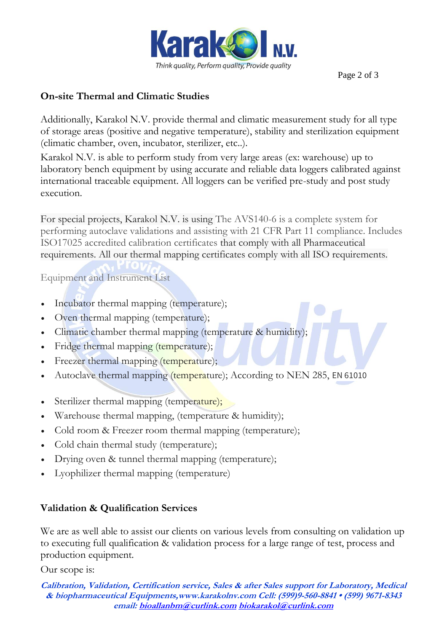

Page 2 of 3

### **On-site Thermal and Climatic Studies**

Additionally, Karakol N.V. provide thermal and climatic measurement study for all type of storage areas (positive and negative temperature), stability and sterilization equipment (climatic chamber, oven, incubator, sterilizer, etc..).

Karakol N.V. is able to perform study from very large areas (ex: warehouse) up to laboratory bench equipment by using accurate and reliable data loggers calibrated against international traceable equipment. All loggers can be verified pre-study and post study execution.

For special projects, Karakol N.V. is using The AVS140-6 is a complete system for performing autoclave validations and assisting with 21 CFR Part 11 compliance. Includes ISO17025 accredited calibration certificates that comply with all Pharmaceutical requirements. All our thermal mapping certificates comply with all ISO requirements.

Equipment and Instrument List

- Incubator thermal mapping (temperature);
- Oven thermal mapping (temperature);
- Climatic chamber thermal mapping (temperature & humidity);
- Fridge thermal mapping (temperature);
- Freezer thermal mapping (temperature);
- Autoclave thermal mapping (temperature); According to NEN 285, EN 61010
- Sterilizer thermal mapping (temperature);
- Warehouse thermal mapping, (temperature & humidity);
- Cold room & Freezer room thermal mapping (temperature);
- Cold chain thermal study (temperature);
- Drying oven & tunnel thermal mapping (temperature);
- Lyophilizer thermal mapping (temperature)

## **Validation & Qualification Services**

We are as well able to assist our clients on various levels from consulting on validation up to executing full qualification & validation process for a large range of test, process and production equipment.

Our scope is:

**Calibration, Validation, Certification service, Sales & after Sales support for Laboratory, Medical & biopharmaceutical Equipments,www.karakolnv.com Cell: (599)9-560-8841 • (599) 9671-8343 email[: bioallanbm@curlink.com](mailto:bioallanbm@curlink.com) [biokarakol@curlink.com](mailto:biokarakol@curlink.com)**